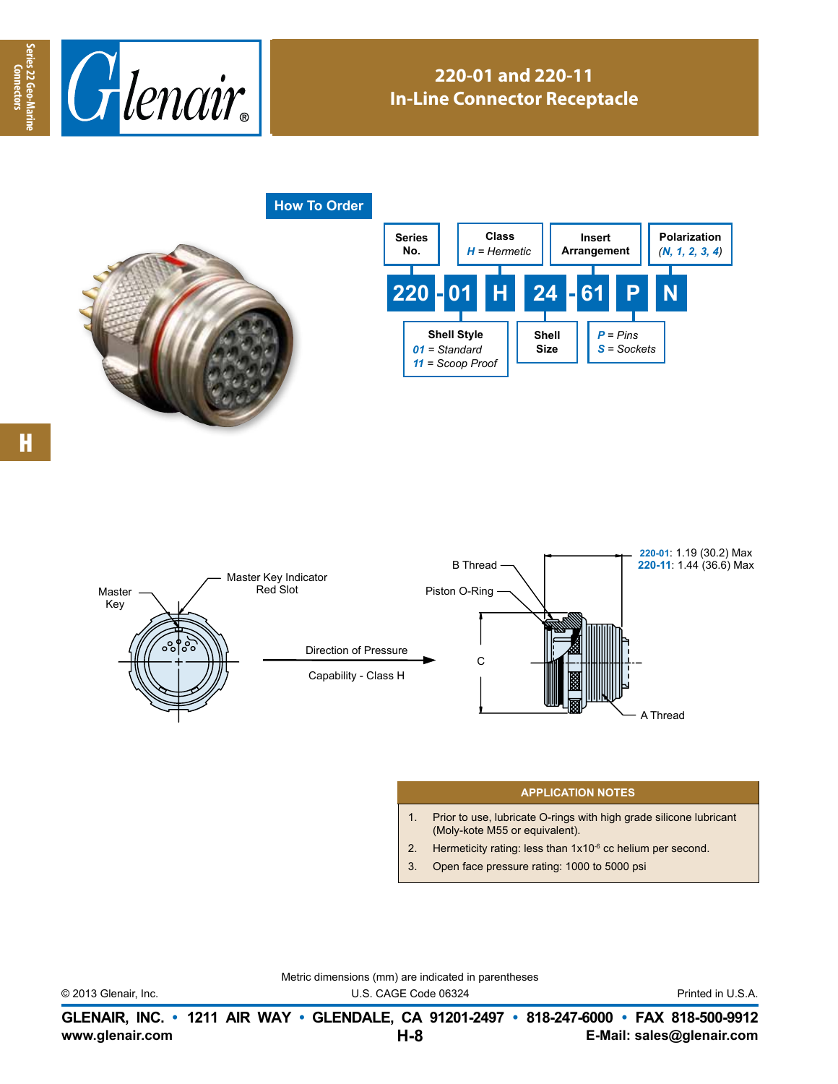

## **220-01 and 220-11 In-Line Connector Receptacle**

**How To Order**







## **APPLICATION NOTES**

- 1. Prior to use, lubricate O-rings with high grade silicone lubricant (Moly-kote M55 or equivalent).
- 2. Hermeticity rating: less than  $1x10^{-6}$  cc helium per second.
- 3. Open face pressure rating: 1000 to 5000 psi

Metric dimensions (mm) are indicated in parentheses

© 2013 Glenair, Inc. U.S. CAGE Code 06324 Printed in U.S.A.

**www.glenair.com E-Mail: sales@glenair.com GLENAIR, INC. • 1211 AIR WAY • GLENDALE, CA 91201-2497 • 818-247-6000 • FAX 818-500-9912 H-8**